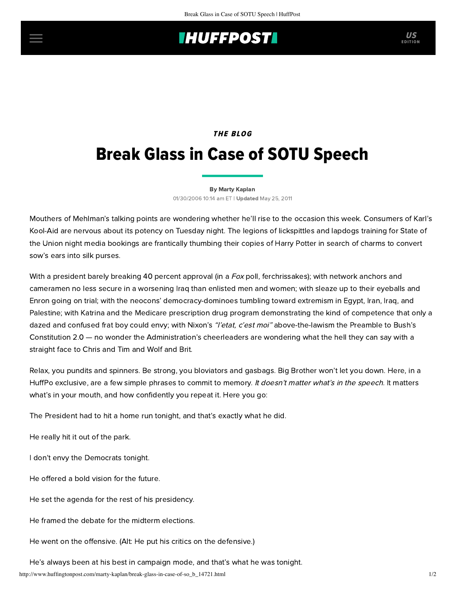## **IHUFFPOSTI**

### **THE BLOG**

# Break Glass in Case of SOTU Speech

#### [By Marty Kaplan](http://www.huffingtonpost.com/author/marty-kaplan)

01/30/2006 10:14 am ET | Updated May 25, 2011

Mouthers of Mehlman's talking points are wondering whether he'll rise to the occasion this week. Consumers of Karl's Kool-Aid are nervous about its potency on Tuesday night. The legions of lickspittles and lapdogs training for State of the Union night media bookings are frantically thumbing their copies of Harry Potter in search of charms to convert sow's ears into silk purses.

With a president barely breaking 40 percent approval (in a Fox poll, ferchrissakes); with network anchors and cameramen no less secure in a worsening Iraq than enlisted men and women; with sleaze up to their eyeballs and Enron going on trial; with the neocons' democracy-dominoes tumbling toward extremism in Egypt, Iran, Iraq, and Palestine; with Katrina and the Medicare prescription drug program demonstrating the kind of competence that only a dazed and confused frat boy could envy; with Nixon's "l'etat, c'est moi" above-the-lawism the Preamble to Bush's Constitution 2.0 — no wonder the Administration's cheerleaders are wondering what the hell they can say with a straight face to Chris and Tim and Wolf and Brit.

Relax, you pundits and spinners. Be strong, you bloviators and gasbags. Big Brother won't let you down. Here, in a HuffPo exclusive, are a few simple phrases to commit to memory. It doesn't matter what's in the speech. It matters what's in your mouth, and how confidently you repeat it. Here you go:

The President had to hit a home run tonight, and that's exactly what he did.

He really hit it out of the park.

I don't envy the Democrats tonight.

He offered a bold vision for the future.

He set the agenda for the rest of his presidency.

He framed the debate for the midterm elections.

He went on the offensive. (Alt: He put his critics on the defensive.)

He's always been at his best in campaign mode, and that's what he was tonight.

http://www.huffingtonpost.com/marty-kaplan/break-glass-in-case-of-so\_b\_14721.html 1/2